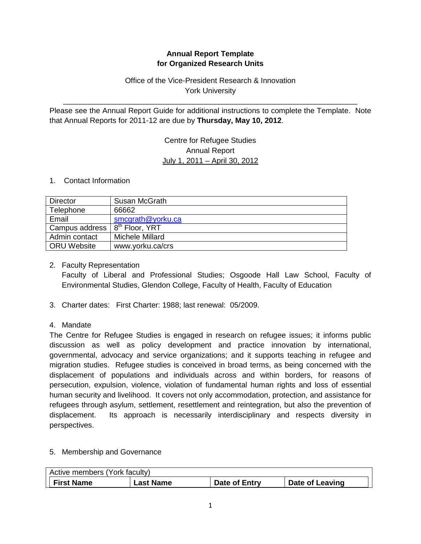# **Annual Report Template for Organized Research Units**

## Office of the Vice-President Research & Innovation York University

Please see the Annual Report Guide for additional instructions to complete the Template. Note that Annual Reports for 2011-12 are due by **Thursday, May 10, 2012**.

\_\_\_\_\_\_\_\_\_\_\_\_\_\_\_\_\_\_\_\_\_\_\_\_\_\_\_\_\_\_\_\_\_\_\_\_\_\_\_\_\_\_\_\_\_\_\_\_\_\_\_\_\_\_\_\_\_\_\_\_\_\_\_\_\_\_\_\_\_\_

## Centre for Refugee Studies Annual Report July 1, 2011 – April 30, 2012

### 1. Contact Information

| <b>Director</b>    | Susan McGrath              |
|--------------------|----------------------------|
| Telephone          | 66662                      |
| Email              | smcgrath@yorku.ca          |
| Campus address     | 8 <sup>th</sup> Floor, YRT |
| Admin contact      | Michele Millard            |
| <b>ORU Website</b> | www.yorku.ca/crs           |
|                    |                            |

### 2. Faculty Representation

Faculty of Liberal and Professional Studies; Osgoode Hall Law School, Faculty of Environmental Studies, Glendon College, Faculty of Health, Faculty of Education

3. Charter dates: First Charter: 1988; last renewal: 05/2009.

## 4. Mandate

The Centre for Refugee Studies is engaged in research on refugee issues; it informs public discussion as well as policy development and practice innovation by international, governmental, advocacy and service organizations; and it supports teaching in refugee and migration studies. Refugee studies is conceived in broad terms, as being concerned with the displacement of populations and individuals across and within borders, for reasons of persecution, expulsion, violence, violation of fundamental human rights and loss of essential human security and livelihood. It covers not only accommodation, protection, and assistance for refugees through asylum, settlement, resettlement and reintegration, but also the prevention of displacement. Its approach is necessarily interdisciplinary and respects diversity in perspectives.

## 5. Membership and Governance

| Active members (York faculty) |           |               |                 |  |
|-------------------------------|-----------|---------------|-----------------|--|
| <b>First Name</b>             | ∟ast Name | Date of Entry | Date of Leaving |  |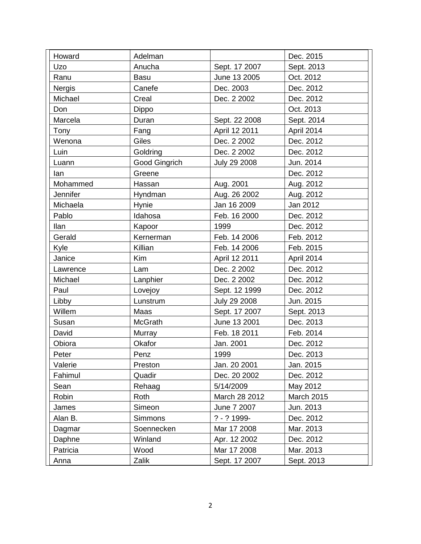| Howard      | Adelman              |                     | Dec. 2015         |
|-------------|----------------------|---------------------|-------------------|
| <b>Uzo</b>  | Anucha               | Sept. 17 2007       | Sept. 2013        |
| Ranu        | Basu                 | June 13 2005        | Oct. 2012         |
| Nergis      | Canefe               | Dec. 2003           | Dec. 2012         |
| Michael     | Creal                | Dec. 2 2002         | Dec. 2012         |
| Don         | Dippo                |                     | Oct. 2013         |
| Marcela     | Duran                | Sept. 22 2008       | Sept. 2014        |
| Tony        | Fang                 | April 12 2011       | April 2014        |
| Wenona      | Giles                | Dec. 2 2002         | Dec. 2012         |
| Luin        | Goldring             | Dec. 2 2002         | Dec. 2012         |
| Luann       | <b>Good Gingrich</b> | July 29 2008        | Jun. 2014         |
| lan         | Greene               |                     | Dec. 2012         |
| Mohammed    | Hassan               | Aug. 2001           | Aug. 2012         |
| Jennifer    | Hyndman              | Aug. 26 2002        | Aug. 2012         |
| Michaela    | Hynie                | Jan 16 2009         | Jan 2012          |
| Pablo       | Idahosa              | Feb. 16 2000        | Dec. 2012         |
| <b>Ilan</b> | Kapoor               | 1999                | Dec. 2012         |
| Gerald      | Kernerman            | Feb. 14 2006        | Feb. 2012         |
| Kyle        | Killian              | Feb. 14 2006        | Feb. 2015         |
| Janice      | Kim                  | April 12 2011       | April 2014        |
| Lawrence    | Lam                  | Dec. 2 2002         | Dec. 2012         |
| Michael     | Lanphier             | Dec. 2 2002         | Dec. 2012         |
| Paul        | Lovejoy              | Sept. 12 1999       | Dec. 2012         |
| Libby       | Lunstrum             | <b>July 29 2008</b> | Jun. 2015         |
| Willem      | Maas                 | Sept. 17 2007       | Sept. 2013        |
| Susan       | <b>McGrath</b>       | June 13 2001        | Dec. 2013         |
| David       | Murray               | Feb. 18 2011        | Feb. 2014         |
| Obiora      | Okafor               | Jan. 2001           | Dec. 2012         |
| Peter       | Penz                 | 1999                | Dec. 2013         |
| Valerie     | Preston              | Jan. 20 2001        | Jan. 2015         |
| Fahimul     | Quadir               | Dec. 20 2002        | Dec. 2012         |
| Sean        | Rehaag               | 5/14/2009           | May 2012          |
| Robin       | Roth                 | March 28 2012       | <b>March 2015</b> |
| James       | Simeon               | June 7 2007         | Jun. 2013         |
| Alan B.     | Simmons              | $? - ? 1999 -$      | Dec. 2012         |
| Dagmar      | Soennecken           | Mar 17 2008         | Mar. 2013         |
| Daphne      | Winland              | Apr. 12 2002        | Dec. 2012         |
| Patricia    | Wood                 | Mar 17 2008         | Mar. 2013         |
| Anna        | Zalik                | Sept. 17 2007       | Sept. 2013        |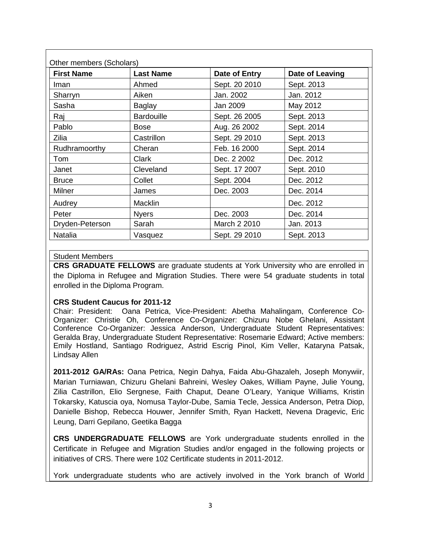| Other members (Scholars) |                   |               |                 |
|--------------------------|-------------------|---------------|-----------------|
| <b>First Name</b>        | <b>Last Name</b>  | Date of Entry | Date of Leaving |
| Iman                     | Ahmed             | Sept. 20 2010 | Sept. 2013      |
| Sharryn                  | Aiken             | Jan. 2002     | Jan. 2012       |
| Sasha                    | <b>Baglay</b>     | Jan 2009      | May 2012        |
| Raj                      | <b>Bardouille</b> | Sept. 26 2005 | Sept. 2013      |
| Pablo                    | <b>Bose</b>       | Aug. 26 2002  | Sept. 2014      |
| <b>Zilia</b>             | Castrillon        | Sept. 29 2010 | Sept. 2013      |
| Rudhramoorthy            | Cheran            | Feb. 16 2000  | Sept. 2014      |
| Tom                      | Clark             | Dec. 2 2002   | Dec. 2012       |
| Janet                    | Cleveland         | Sept. 17 2007 | Sept. 2010      |
| <b>Bruce</b>             | Collet            | Sept. 2004    | Dec. 2012       |
| Milner                   | James             | Dec. 2003     | Dec. 2014       |
| Audrey                   | Macklin           |               | Dec. 2012       |
| Peter                    | <b>Nyers</b>      | Dec. 2003     | Dec. 2014       |
| Dryden-Peterson          | Sarah             | March 2 2010  | Jan. 2013       |
| Natalia                  | Vasquez           | Sept. 29 2010 | Sept. 2013      |

#### Student Members

**CRS GRADUATE FELLOWS** are graduate students at York University who are enrolled in the Diploma in Refugee and Migration Studies. There were 54 graduate students in total enrolled in the Diploma Program.

#### **CRS Student Caucus for 2011-12**

Chair: President: Oana Petrica, Vice-President: Abetha Mahalingam, Conference Co-Organizer: Christie Oh, Conference Co-Organizer: Chizuru Nobe Ghelani, Assistant Conference Co-Organizer: Jessica Anderson, Undergraduate Student Representatives: Geralda Bray, Undergraduate Student Representative: Rosemarie Edward; Active members: Emily Hostland, Santiago Rodriguez, Astrid Escrig Pinol, Kim Veller, Kataryna Patsak, Lindsay Allen

**2011-2012 GA/RAs:** Oana Petrica, Negin Dahya, Faida Abu-Ghazaleh, Joseph Monywiir, Marian Turniawan, Chizuru Ghelani Bahreini, Wesley Oakes, William Payne, Julie Young, Zilia Castrillon, Elio Sergnese, Faith Chaput, Deane O'Leary, Yanique Williams, Kristin Tokarsky, Katuscia oya, Nomusa Taylor-Dube, Samia Tecle, Jessica Anderson, Petra Diop, Danielle Bishop, Rebecca Houwer, Jennifer Smith, Ryan Hackett, Nevena Dragevic, Eric Leung, Darri Gepilano, Geetika Bagga

**CRS UNDERGRADUATE FELLOWS** are York undergraduate students enrolled in the Certificate in Refugee and Migration Studies and/or engaged in the following projects or initiatives of CRS. There were 102 Certificate students in 2011-2012.

York undergraduate students who are actively involved in the York branch of World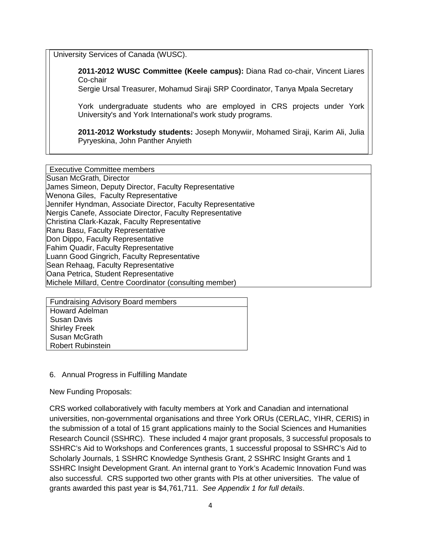University Services of Canada (WUSC).

**2011-2012 WUSC Committee (Keele campus):** Diana Rad co-chair, Vincent Liares Co-chair

Sergie Ursal Treasurer, Mohamud Siraji SRP Coordinator, Tanya Mpala Secretary

York undergraduate students who are employed in CRS projects under York University's and York International's work study programs.

**2011-2012 Workstudy students:** Joseph Monywiir, Mohamed Siraji, Karim Ali, Julia Pyryeskina, John Panther Anyieth

Executive Committee members Susan McGrath, Director James Simeon, Deputy Director, Faculty Representative Wenona Giles, Faculty Representative Jennifer Hyndman, Associate Director, Faculty Representative Nergis Canefe, Associate Director, Faculty Representative Christina Clark-Kazak, Faculty Representative Ranu Basu, Faculty Representative Don Dippo, Faculty Representative Fahim Quadir, Faculty Representative Luann Good Gingrich, Faculty Representative Sean Rehaag, Faculty Representative Oana Petrica, Student Representative Michele Millard, Centre Coordinator (consulting member)

| <b>Fundraising Advisory Board members</b> |  |  |
|-------------------------------------------|--|--|
| <b>Howard Adelman</b>                     |  |  |
| Susan Davis                               |  |  |
| <b>Shirley Freek</b>                      |  |  |
| Susan McGrath                             |  |  |
| <b>Robert Rubinstein</b>                  |  |  |

## 6. Annual Progress in Fulfilling Mandate

New Funding Proposals:

CRS worked collaboratively with faculty members at York and Canadian and international universities, non-governmental organisations and three York ORUs (CERLAC, YIHR, CERIS) in the submission of a total of 15 grant applications mainly to the Social Sciences and Humanities Research Council (SSHRC). These included 4 major grant proposals, 3 successful proposals to SSHRC's Aid to Workshops and Conferences grants, 1 successful proposal to SSHRC's Aid to Scholarly Journals, 1 SSHRC Knowledge Synthesis Grant, 2 SSHRC Insight Grants and 1 SSHRC Insight Development Grant. An internal grant to York's Academic Innovation Fund was also successful. CRS supported two other grants with PIs at other universities. The value of grants awarded this past year is \$4,761,711. *See Appendix 1 for full details*.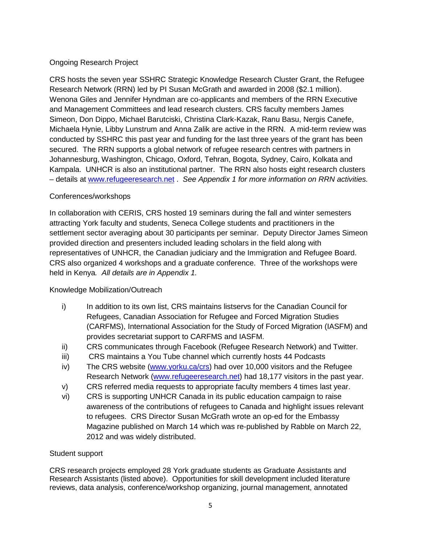### Ongoing Research Project

CRS hosts the seven year SSHRC Strategic Knowledge Research Cluster Grant, the Refugee Research Network (RRN) led by PI Susan McGrath and awarded in 2008 (\$2.1 million). Wenona Giles and Jennifer Hyndman are co-applicants and members of the RRN Executive and Management Committees and lead research clusters. CRS faculty members James Simeon, Don Dippo, Michael Barutciski, Christina Clark-Kazak, Ranu Basu, Nergis Canefe, Michaela Hynie, Libby Lunstrum and Anna Zalik are active in the RRN. A mid-term review was conducted by SSHRC this past year and funding for the last three years of the grant has been secured. The RRN supports a global network of refugee research centres with partners in Johannesburg, Washington, Chicago, Oxford, Tehran, Bogota, Sydney, Cairo, Kolkata and Kampala. UNHCR is also an institutional partner. The RRN also hosts eight research clusters – details at [www.refugeeresearch.net](http://www.refugeeresearch.net/) . *See Appendix 1 for more information on RRN activities.* 

#### Conferences/workshops

In collaboration with CERIS, CRS hosted 19 seminars during the fall and winter semesters attracting York faculty and students, Seneca College students and practitioners in the settlement sector averaging about 30 participants per seminar. Deputy Director James Simeon provided direction and presenters included leading scholars in the field along with representatives of UNHCR, the Canadian judiciary and the Immigration and Refugee Board. CRS also organized 4 workshops and a graduate conference. Three of the workshops were held in Kenya*. All details are in Appendix 1.*

#### Knowledge Mobilization/Outreach

- i) In addition to its own list, CRS maintains listservs for the Canadian Council for Refugees, Canadian Association for Refugee and Forced Migration Studies (CARFMS), International Association for the Study of Forced Migration (IASFM) and provides secretariat support to CARFMS and IASFM.
- ii) CRS communicates through Facebook (Refugee Research Network) and Twitter.
- iii) CRS maintains a You Tube channel which currently hosts 44 Podcasts
- iv) The CRS website [\(www.yorku.ca/crs\)](http://www.yorku.ca/crs) had over 10,000 visitors and the Refugee Research Network [\(www.refugeeresearch.net\)](http://www.refugeeresearch.net/) had 18,177 visitors in the past year.
- v) CRS referred media requests to appropriate faculty members 4 times last year.
- vi) CRS is supporting UNHCR Canada in its public education campaign to raise awareness of the contributions of refugees to Canada and highlight issues relevant to refugees. CRS Director Susan McGrath wrote an op-ed for the Embassy Magazine published on March 14 which was re-published by Rabble on March 22, 2012 and was widely distributed.

#### Student support

CRS research projects employed 28 York graduate students as Graduate Assistants and Research Assistants (listed above). Opportunities for skill development included literature reviews, data analysis, conference/workshop organizing, journal management, annotated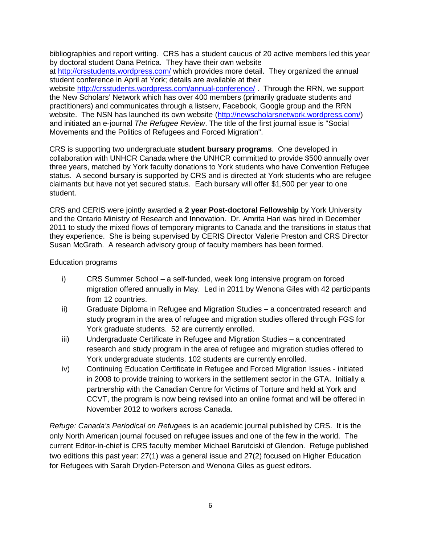bibliographies and report writing. CRS has a student caucus of 20 active members led this year by doctoral student Oana Petrica. They have their own website at<http://crsstudents.wordpress.com/> which provides more detail. They organized the annual student conference in April at York; details are available at their website<http://crsstudents.wordpress.com/annual-conference/> . Through the RRN, we support the New Scholars' Network which has over 400 members (primarily graduate students and practitioners) and communicates through a listserv, Facebook, Google group and the RRN website. The NSN has launched its own website [\(http://newscholarsnetwork.wordpress.com/\)](http://newscholarsnetwork.wordpress.com/) and initiated an e-journal *The Refugee Review*. The title of the first journal issue is "Social Movements and the Politics of Refugees and Forced Migration".

CRS is supporting two undergraduate **student bursary programs**. One developed in collaboration with UNHCR Canada where the UNHCR committed to provide \$500 annually over three years, matched by York faculty donations to York students who have Convention Refugee status. A second bursary is supported by CRS and is directed at York students who are refugee claimants but have not yet secured status. Each bursary will offer \$1,500 per year to one student.

CRS and CERIS were jointly awarded a **2 year Post-doctoral Fellowship** by York University and the Ontario Ministry of Research and Innovation. Dr. Amrita Hari was hired in December 2011 to study the mixed flows of temporary migrants to Canada and the transitions in status that they experience. She is being supervised by CERIS Director Valerie Preston and CRS Director Susan McGrath. A research advisory group of faculty members has been formed.

#### Education programs

- i) CRS Summer School a self-funded, week long intensive program on forced migration offered annually in May. Led in 2011 by Wenona Giles with 42 participants from 12 countries.
- ii) Graduate Diploma in Refugee and Migration Studies a concentrated research and study program in the area of refugee and migration studies offered through FGS for York graduate students. 52 are currently enrolled.
- iii) Undergraduate Certificate in Refugee and Migration Studies a concentrated research and study program in the area of refugee and migration studies offered to York undergraduate students. 102 students are currently enrolled.
- iv) Continuing Education Certificate in Refugee and Forced Migration Issues initiated in 2008 to provide training to workers in the settlement sector in the GTA. Initially a partnership with the Canadian Centre for Victims of Torture and held at York and CCVT, the program is now being revised into an online format and will be offered in November 2012 to workers across Canada.

*Refuge: Canada's Periodical on Refugees* is an academic journal published by CRS. It is the only North American journal focused on refugee issues and one of the few in the world. The current Editor-in-chief is CRS faculty member Michael Barutciski of Glendon. Refuge published two editions this past year: 27(1) was a general issue and 27(2) focused on Higher Education for Refugees with Sarah Dryden-Peterson and Wenona Giles as guest editors.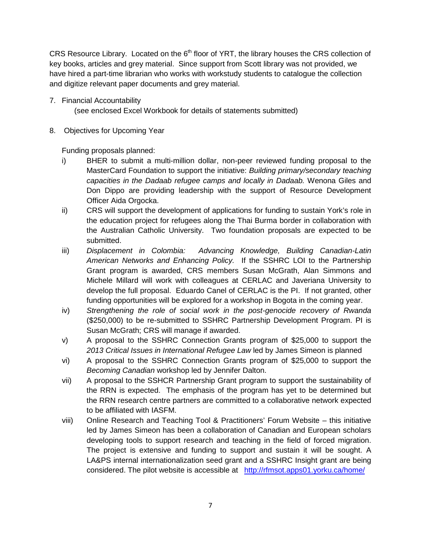CRS Resource Library. Located on the 6<sup>th</sup> floor of YRT, the library houses the CRS collection of key books, articles and grey material. Since support from Scott library was not provided, we have hired a part-time librarian who works with workstudy students to catalogue the collection and digitize relevant paper documents and grey material.

7. Financial Accountability

(see enclosed Excel Workbook for details of statements submitted)

8. Objectives for Upcoming Year

Funding proposals planned:

- i) BHER to submit a multi-million dollar, non-peer reviewed funding proposal to the MasterCard Foundation to support the initiative: *Building primary/secondary teaching capacities in the Dadaab refugee camps and locally in Dadaab.* Wenona Giles and Don Dippo are providing leadership with the support of Resource Development Officer Aida Orgocka.
- ii) CRS will support the development of applications for funding to sustain York's role in the education project for refugees along the Thai Burma border in collaboration with the Australian Catholic University. Two foundation proposals are expected to be submitted.
- iii) *Displacement in Colombia: Advancing Knowledge, Building Canadian-Latin American Networks and Enhancing Policy.* If the SSHRC LOI to the Partnership Grant program is awarded, CRS members Susan McGrath, Alan Simmons and Michele Millard will work with colleagues at CERLAC and Javeriana University to develop the full proposal. Eduardo Canel of CERLAC is the PI. If not granted, other funding opportunities will be explored for a workshop in Bogota in the coming year.
- iv) *Strengthening the role of social work in the post-genocide recovery of Rwanda*  (\$250,000) to be re-submitted to SSHRC Partnership Development Program. PI is Susan McGrath; CRS will manage if awarded.
- v) A proposal to the SSHRC Connection Grants program of \$25,000 to support the *2013 Critical Issues in International Refugee Law* led by James Simeon is planned
- vi) A proposal to the SSHRC Connection Grants program of \$25,000 to support the *Becoming Canadian* workshop led by Jennifer Dalton.
- vii) A proposal to the SSHCR Partnership Grant program to support the sustainability of the RRN is expected. The emphasis of the program has yet to be determined but the RRN research centre partners are committed to a collaborative network expected to be affiliated with IASFM.
- viii) Online Research and Teaching Tool & Practitioners' Forum Website this initiative led by James Simeon has been a collaboration of Canadian and European scholars developing tools to support research and teaching in the field of forced migration. The project is extensive and funding to support and sustain it will be sought. A LA&PS internal internationalization seed grant and a SSHRC Insight grant are being considered. The pilot website is accessible at <http://rfmsot.apps01.yorku.ca/home/>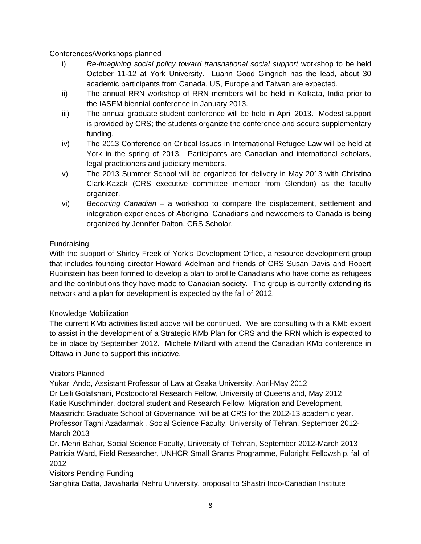Conferences/Workshops planned

- i) *Re-imagining social policy toward transnational social support* workshop to be held October 11-12 at York University. Luann Good Gingrich has the lead, about 30 academic participants from Canada, US, Europe and Taiwan are expected.
- ii) The annual RRN workshop of RRN members will be held in Kolkata, India prior to the IASFM biennial conference in January 2013.
- iii) The annual graduate student conference will be held in April 2013. Modest support is provided by CRS; the students organize the conference and secure supplementary funding.
- iv) The 2013 Conference on Critical Issues in International Refugee Law will be held at York in the spring of 2013. Participants are Canadian and international scholars, legal practitioners and judiciary members.
- v) The 2013 Summer School will be organized for delivery in May 2013 with Christina Clark-Kazak (CRS executive committee member from Glendon) as the faculty organizer.
- vi) *Becoming Canadian* a workshop to compare the displacement, settlement and integration experiences of Aboriginal Canadians and newcomers to Canada is being organized by Jennifer Dalton, CRS Scholar.

# Fundraising

With the support of Shirley Freek of York's Development Office, a resource development group that includes founding director Howard Adelman and friends of CRS Susan Davis and Robert Rubinstein has been formed to develop a plan to profile Canadians who have come as refugees and the contributions they have made to Canadian society. The group is currently extending its network and a plan for development is expected by the fall of 2012.

## Knowledge Mobilization

The current KMb activities listed above will be continued. We are consulting with a KMb expert to assist in the development of a Strategic KMb Plan for CRS and the RRN which is expected to be in place by September 2012. Michele Millard with attend the Canadian KMb conference in Ottawa in June to support this initiative.

## Visitors Planned

Yukari Ando, Assistant Professor of Law at Osaka University, April-May 2012 Dr Leili Golafshani, Postdoctoral Research Fellow, University of Queensland, May 2012 Katie Kuschminder, doctoral student and Research Fellow, Migration and Development, Maastricht Graduate School of Governance, will be at CRS for the 2012-13 academic year. Professor Taghi Azadarmaki, Social Science Faculty, University of Tehran, September 2012- March 2013

Dr. Mehri Bahar, Social Science Faculty, University of Tehran, September 2012-March 2013 Patricia Ward, Field Researcher, UNHCR Small Grants Programme, Fulbright Fellowship, fall of 2012

Visitors Pending Funding

Sanghita Datta, Jawaharlal Nehru University, proposal to Shastri Indo-Canadian Institute